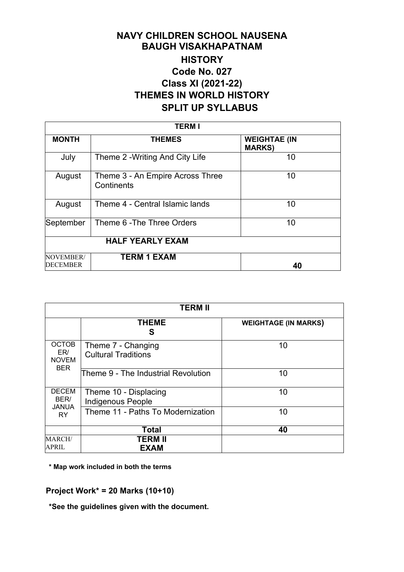## **NAVY CHILDREN SCHOOL NAUSENA BAUGH VISAKHAPATNAM HISTORY Code No. 027 Class XI (2021-22) THEMES IN WORLD HISTORY SPLIT UP SYLLABUS**

| <b>TERM I</b>                |                                                |                                      |  |  |
|------------------------------|------------------------------------------------|--------------------------------------|--|--|
| <b>MONTH</b>                 | <b>THEMES</b>                                  | <b>WEIGHTAE (IN</b><br><b>MARKS)</b> |  |  |
| July                         | Theme 2 - Writing And City Life                | 10                                   |  |  |
| August                       | Theme 3 - An Empire Across Three<br>Continents | 10                                   |  |  |
| August                       | Theme 4 - Central Islamic lands                | 10                                   |  |  |
| September                    | Theme 6 - The Three Orders                     | 10                                   |  |  |
| <b>HALF YEARLY EXAM</b>      |                                                |                                      |  |  |
| NOVEMBER/<br><b>DECEMBER</b> | <b>TERM 1 EXAM</b>                             | 40                                   |  |  |

|                                                   | <b>TERM II</b>                                    |                             |  |  |
|---------------------------------------------------|---------------------------------------------------|-----------------------------|--|--|
|                                                   | <b>THEME</b><br>S                                 | <b>WEIGHTAGE (IN MARKS)</b> |  |  |
| <b>OCTOB</b><br>ER/<br><b>NOVEM</b><br><b>BER</b> | Theme 7 - Changing<br><b>Cultural Traditions</b>  | 10                          |  |  |
|                                                   | Theme 9 - The Industrial Revolution               | 10                          |  |  |
| <b>DECEM</b><br>BER/<br><b>JANUA</b><br><b>RY</b> | Theme 10 - Displacing<br><b>Indigenous People</b> | 10                          |  |  |
|                                                   | Theme 11 - Paths To Modernization                 | 10                          |  |  |
|                                                   | <b>Total</b>                                      | 40                          |  |  |
| MARCH/<br>APRIL                                   | TERM II<br><b>EXAM</b>                            |                             |  |  |

**\* Map work included in both the terms**

**Project Work\* = 20 Marks (10+10)**

**\*See the guidelines given with the document.**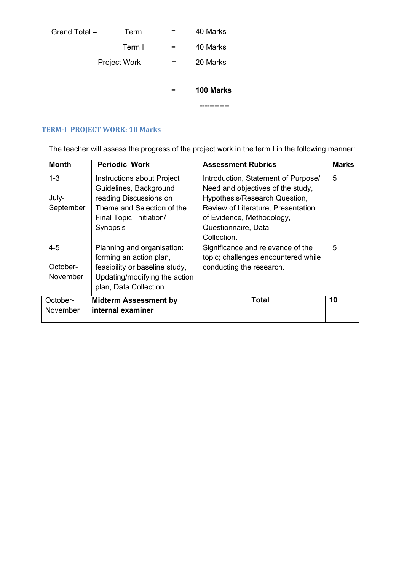|               |                     |     | -------          |
|---------------|---------------------|-----|------------------|
|               |                     |     | <b>100 Marks</b> |
|               | <b>Project Work</b> |     | 20 Marks         |
|               | Term II             | $=$ | 40 Marks         |
| Grand Total = | Term I              |     | 40 Marks         |

## **TERM-I PROJECT WORK: 10 Marks**

The teacher will assess the progress of the project work in the term I in the following manner:

| <b>Month</b> | <b>Periodic Work</b>           | <b>Assessment Rubrics</b>           | <b>Marks</b> |
|--------------|--------------------------------|-------------------------------------|--------------|
| $1 - 3$      | Instructions about Project     | Introduction, Statement of Purpose/ | 5            |
|              | Guidelines, Background         | Need and objectives of the study,   |              |
| July-        | reading Discussions on         | Hypothesis/Research Question,       |              |
| September    | Theme and Selection of the     | Review of Literature, Presentation  |              |
|              | Final Topic, Initiation/       | of Evidence, Methodology,           |              |
|              | Synopsis                       | Questionnaire, Data                 |              |
|              |                                | Collection.                         |              |
| $4 - 5$      | Planning and organisation:     | Significance and relevance of the   | 5            |
|              | forming an action plan,        | topic; challenges encountered while |              |
| October-     | feasibility or baseline study, | conducting the research.            |              |
| November     | Updating/modifying the action  |                                     |              |
|              | plan, Data Collection          |                                     |              |
| October-     | <b>Midterm Assessment by</b>   | <b>Total</b>                        | 10           |
| November     | internal examiner              |                                     |              |
|              |                                |                                     |              |